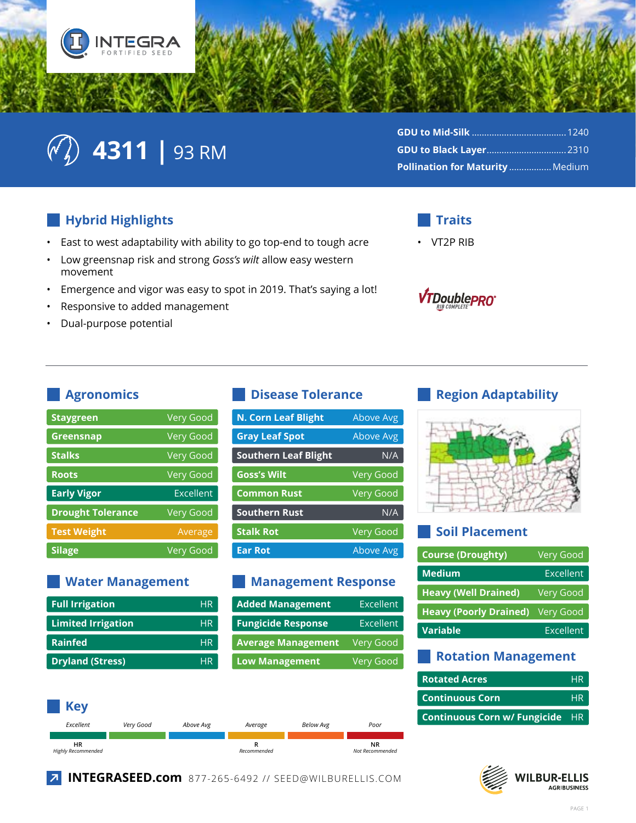

# $\mathbb{C}\left(\sqrt[3]{2}\right)$  4311 | 93 RM

| <b>Pollination for Maturity  Medium</b> |  |
|-----------------------------------------|--|

#### Hybrid Highlights

- East to west adaptability with ability to go top-end to tough acre  $\bullet$
- Low greensnap risk and strong Goss's wilt allow easy western  $\bullet$ movement
- Emergence and vigor was easy to spot in 2019. That's saying a lot!  $\bullet$
- Responsive to added management
- Dual-purpose potential  $\bullet$



**VT2P RIB** 



#### **Agronomics**

| <b>Staygreen</b>         | <b>Very Good</b> |
|--------------------------|------------------|
| Greensnap                | <b>Very Good</b> |
| <b>Stalks</b>            | <b>Very Good</b> |
| <b>Roots</b>             | <b>Very Good</b> |
| <b>Early Vigor</b>       | Excellent        |
| <b>Drought Tolerance</b> | <b>Very Good</b> |
| <b>Test Weight</b>       | Average          |
| <b>Silage</b>            | Very Good        |

#### **Water Management**

| <b>Full Irrigation</b>    | <b>HR</b> |
|---------------------------|-----------|
| <b>Limited Irrigation</b> | <b>HR</b> |
| <b>Rainfed</b>            | <b>HR</b> |
| <b>Dryland (Stress)</b>   | HR        |

#### **Disease Tolerance**

| <b>N. Corn Leaf Blight</b>  | Above Avg        |
|-----------------------------|------------------|
| <b>Gray Leaf Spot</b>       | Above Avg        |
| <b>Southern Leaf Blight</b> | N/A              |
| <b>Goss's Wilt</b>          | <b>Very Good</b> |
| <b>Common Rust</b>          | <b>Very Good</b> |
| <b>Southern Rust</b>        | N/A              |
| <b>Stalk Rot</b>            | <b>Very Good</b> |
| <b>Ear Rot</b>              | Above Avg        |
|                             |                  |

#### **Management Response**

| <b>Added Management</b>   | <b>Excellent</b> |
|---------------------------|------------------|
| <b>Fungicide Response</b> | <b>Excellent</b> |
| <b>Average Management</b> | <b>Very Good</b> |
| <b>Low Management</b>     | Very Good        |



### **Region Adaptability**



#### **Soil Placement**

| <b>Course (Droughty)</b>      | <b>Very Good</b> |
|-------------------------------|------------------|
| <b>Medium</b>                 | Excellent        |
| <b>Heavy (Well Drained)</b>   | <b>Very Good</b> |
| <b>Heavy (Poorly Drained)</b> | <b>Very Good</b> |
| Variable                      | Excellent        |
|                               |                  |

#### **Rotation Management**

| <b>Rotated Acres</b>                   | <b>HR</b> |
|----------------------------------------|-----------|
| <b>Continuous Corn</b>                 | <b>HR</b> |
| <b>Continuous Corn w/ Fungicide HR</b> |           |



7 INTEGRASEED.com 877-265-6492 // SEED@WILBURELLIS.COM